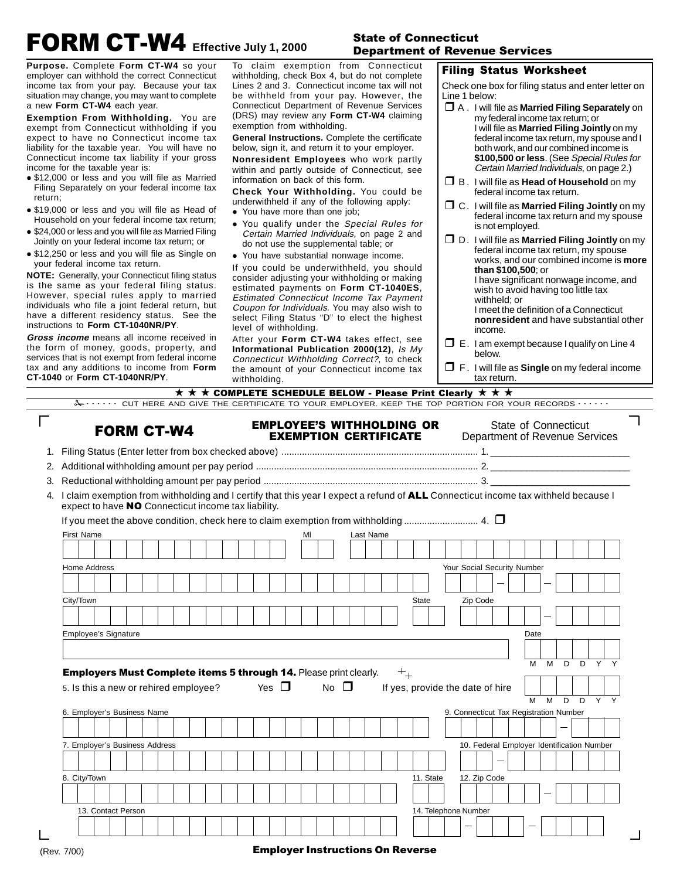# **FORM CT-W4** Effective July 1, 2000

#### **State of Connecticut Department of Revenue Services**

**Purpose.** Complete **Form CT-W4** so your employer can withhold the correct Connecticut income tax from your pay. Because your tax situation may change, you may want to complete a new **Form CT-W4** each year.

**Exemption From Withholding.** You are exempt from Connecticut withholding if you expect to have no Connecticut income tax liability for the taxable year. You will have no Connecticut income tax liability if your gross income for the taxable year is:

- \$12,000 or less and you will file as Married Filing Separately on your federal income tax return;
- \$19,000 or less and you will file as Head of Household on your federal income tax return;
- $\bullet$  \$24,000 or less and you will file as Married Filing Jointly on your federal income tax return; or
- \$12,250 or less and you will file as Single on your federal income tax return.

**NOTE:** Generally, your Connecticut filing status is the same as your federal filing status. However, special rules apply to married individuals who file a joint federal return, but have a different residency status. See the instructions to **Form CT-1040NR/PY**.

**Gross income** means all income received in the form of money, goods, property, and services that is not exempt from federal income tax and any additions to income from **Form CT-1040** or **Form CT-1040NR/PY**.

To claim exemption from Connecticut withholding, check Box 4, but do not complete Lines 2 and 3. Connecticut income tax will not be withheld from your pay. However, the Connecticut Department of Revenue Services (DRS) may review any **Form CT-W4** claiming exemption from withholding.

**General Instructions.** Complete the certificate below, sign it, and return it to your employer.

**Nonresident Employees** who work partly within and partly outside of Connecticut, see information on back of this form.

**Check Your Withholding.** You could be underwithheld if any of the following apply:

- You have more than one job;
- You qualify under the Special Rules for Certain Married Individuals, on page 2 and do not use the supplemental table; or
- You have substantial nonwage income.

If you could be underwithheld, you should consider adjusting your withholding or making estimated payments on **Form CT-1040ES**, Estimated Connecticut Income Tax Payment Coupon for Individuals. You may also wish to select Filing Status "D" to elect the highest level of withholding.

After your **Form CT-W4** takes effect, see **Informational Publication 2000(12)**, Is My Connecticut Withholding Correct?, to check the amount of your Connecticut income tax withholding.

#### **Filing Status Worksheet**

Check one box for filing status and enter letter on Line 1 below:

- **D** A . I will file as **Married Filing Separately** on my federal income tax return; or I will file as **Married Filing Jointly** on my federal income tax return, my spouse and I both work, and our combined income is **\$100,500 or less**. (See Special Rules for Certain Married Individuals, on page 2.) **B**. I will file as **Head of Household** on my federal income tax return. - C . I will file as **Married Filing Jointly** on my federal income tax return and my spouse
- is not employed. - D . I will file as **Married Filing Jointly** on my federal income tax return, my spouse works, and our combined income is **more than \$100,500**; or I have significant nonwage income, and wish to avoid having too little tax withheld; or I meet the definition of a Connecticut **nonresident** and have substantial other income.
- $\Box$  E. I am exempt because I qualify on Line 4 below.
- F . I will file as **Single** on my federal income tax return.

|                                                                                                                                                                                              | -1040 or Form CT-1040NR/PY. |                                                            | withholding. |                                                                  |    |              |           |      |           |                                            | tax return. |                      |   |   |              |
|----------------------------------------------------------------------------------------------------------------------------------------------------------------------------------------------|-----------------------------|------------------------------------------------------------|--------------|------------------------------------------------------------------|----|--------------|-----------|------|-----------|--------------------------------------------|-------------|----------------------|---|---|--------------|
|                                                                                                                                                                                              |                             | ★ ★ ★ COMPLETE SCHEDULE BELOW - Please Print Clearly ★ ★ ★ |              |                                                                  |    |              |           |      |           |                                            |             |                      |   |   |              |
| -S.  CUT HERE AND GIVE THE CERTIFICATE TO YOUR EMPLOYER. KEEP THE TOP PORTION FOR YOUR RECORDS                                                                                               |                             |                                                            |              |                                                                  |    |              |           |      |           |                                            |             |                      |   |   |              |
|                                                                                                                                                                                              | <b>FORM CT-W4</b>           |                                                            |              | <b>EMPLOYEE'S WITHHOLDING OR</b><br><b>EXEMPTION CERTIFICATE</b> |    |              |           |      |           | Department of Revenue Services             |             | State of Connecticut |   |   |              |
|                                                                                                                                                                                              |                             |                                                            |              |                                                                  |    |              |           |      |           |                                            |             |                      |   |   |              |
|                                                                                                                                                                                              |                             |                                                            |              |                                                                  |    |              |           |      |           |                                            |             |                      |   |   |              |
|                                                                                                                                                                                              |                             |                                                            |              |                                                                  |    |              |           |      |           |                                            |             |                      |   |   |              |
| 4. I claim exemption from withholding and I certify that this year I expect a refund of ALL Connecticut income tax withheld because I<br>expect to have NO Connecticut income tax liability. |                             |                                                            |              |                                                                  |    |              |           |      |           |                                            |             |                      |   |   |              |
|                                                                                                                                                                                              |                             |                                                            |              |                                                                  |    |              |           |      |           |                                            |             |                      |   |   |              |
| <b>First Name</b>                                                                                                                                                                            |                             |                                                            |              |                                                                  | MI |              | Last Name |      |           |                                            |             |                      |   |   |              |
|                                                                                                                                                                                              |                             |                                                            |              |                                                                  |    |              |           |      |           |                                            |             |                      |   |   |              |
| Home Address                                                                                                                                                                                 |                             |                                                            |              |                                                                  |    |              |           |      |           | Your Social Security Number                |             |                      |   |   |              |
|                                                                                                                                                                                              |                             |                                                            |              |                                                                  |    |              |           |      |           |                                            |             |                      |   |   |              |
|                                                                                                                                                                                              |                             |                                                            |              |                                                                  |    |              |           |      |           |                                            |             |                      |   |   |              |
| City/Town                                                                                                                                                                                    |                             |                                                            |              |                                                                  |    |              |           |      | State     | Zip Code                                   |             |                      |   |   |              |
|                                                                                                                                                                                              |                             |                                                            |              |                                                                  |    |              |           |      |           |                                            |             |                      |   |   |              |
|                                                                                                                                                                                              |                             |                                                            |              |                                                                  |    |              |           |      |           |                                            |             |                      |   |   |              |
| <b>Employee's Signature</b>                                                                                                                                                                  |                             |                                                            |              |                                                                  |    |              |           |      |           |                                            |             | Date                 |   |   |              |
|                                                                                                                                                                                              |                             |                                                            |              |                                                                  |    |              |           |      |           |                                            |             |                      |   |   |              |
|                                                                                                                                                                                              |                             |                                                            |              |                                                                  |    |              |           |      |           |                                            |             | M<br>м               | D | D | $\mathsf{Y}$ |
| <b>Employers Must Complete items 5 through 14. Please print clearly.</b>                                                                                                                     |                             |                                                            |              |                                                                  |    |              |           | $^+$ |           |                                            |             |                      |   |   |              |
| 5. Is this a new or rehired employee?                                                                                                                                                        |                             |                                                            |              | Yes $\Box$                                                       |    | No $\square$ |           |      |           | If yes, provide the date of hire           |             |                      |   |   |              |
|                                                                                                                                                                                              |                             |                                                            |              |                                                                  |    |              |           |      |           |                                            |             | M<br>M               | D | D | Y            |
| 6. Employer's Business Name                                                                                                                                                                  |                             |                                                            |              |                                                                  |    |              |           |      |           | 9. Connecticut Tax Registration Number     |             |                      |   |   |              |
|                                                                                                                                                                                              |                             |                                                            |              |                                                                  |    |              |           |      |           |                                            |             |                      |   |   |              |
| 7. Employer's Business Address                                                                                                                                                               |                             |                                                            |              |                                                                  |    |              |           |      |           | 10. Federal Employer Identification Number |             |                      |   |   |              |
|                                                                                                                                                                                              |                             |                                                            |              |                                                                  |    |              |           |      |           |                                            |             |                      |   |   |              |
|                                                                                                                                                                                              |                             |                                                            |              |                                                                  |    |              |           |      |           |                                            |             |                      |   |   |              |
| 8. City/Town                                                                                                                                                                                 |                             |                                                            |              |                                                                  |    |              |           |      | 11. State | 12. Zip Code                               |             |                      |   |   |              |
|                                                                                                                                                                                              |                             |                                                            |              |                                                                  |    |              |           |      |           |                                            |             |                      |   |   |              |
| 13. Contact Person                                                                                                                                                                           |                             |                                                            |              |                                                                  |    |              |           |      |           | 14. Telephone Number                       |             |                      |   |   |              |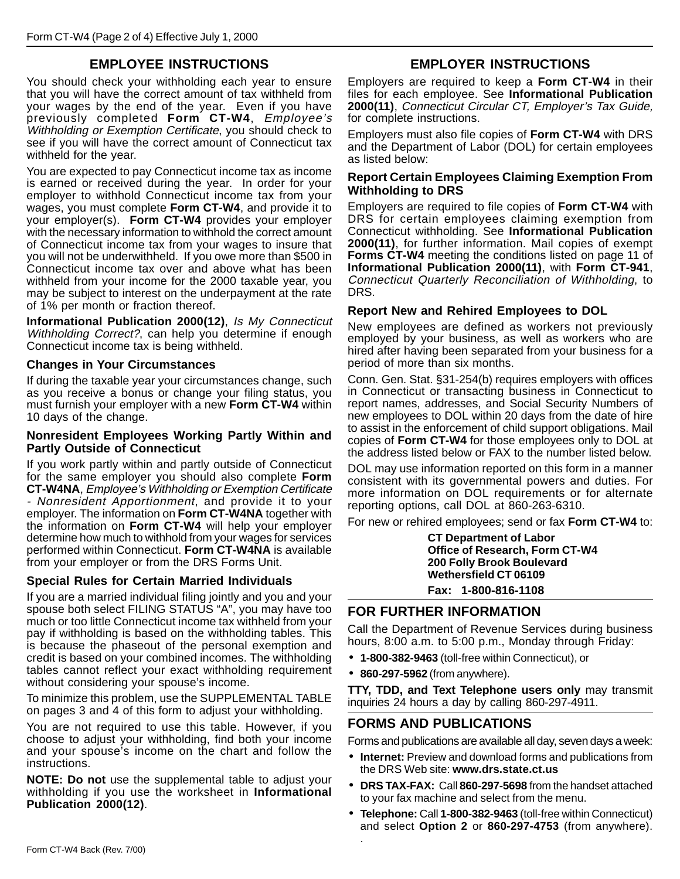### **EMPLOYEE INSTRUCTIONS**

You should check your withholding each year to ensure that you will have the correct amount of tax withheld from your wages by the end of the year. Even if you have previously completed **Form CT-W4**, Employee's Withholding or Exemption Certificate, you should check to see if you will have the correct amount of Connecticut tax withheld for the year.

You are expected to pay Connecticut income tax as income is earned or received during the year. In order for your employer to withhold Connecticut income tax from your wages, you must complete **Form CT-W4**, and provide it to your employer(s). **Form CT-W4** provides your employer with the necessary information to withhold the correct amount of Connecticut income tax from your wages to insure that you will not be underwithheld. If you owe more than \$500 in Connecticut income tax over and above what has been withheld from your income for the 2000 taxable year, you may be subject to interest on the underpayment at the rate of 1% per month or fraction thereof.

**Informational Publication 2000(12)**, Is My Connecticut Withholding Correct?, can help you determine if enough Connecticut income tax is being withheld.

#### **Changes in Your Circumstances**

If during the taxable year your circumstances change, such as you receive a bonus or change your filing status, you must furnish your employer with a new **Form CT-W4** within 10 days of the change.

#### **Nonresident Employees Working Partly Within and Partly Outside of Connecticut**

If you work partly within and partly outside of Connecticut for the same employer you should also complete **Form CT-W4NA**, Employee's Withholding or Exemption Certificate - Nonresident Apportionment, and provide it to your employer. The information on **Form CT-W4NA** together with the information on **Form CT-W4** will help your employer determine how much to withhold from your wages for services performed within Connecticut. **Form CT-W4NA** is available from your employer or from the DRS Forms Unit.

#### **Special Rules for Certain Married Individuals**

If you are a married individual filing jointly and you and your spouse both select FILING STATUS "A", you may have too much or too little Connecticut income tax withheld from your pay if withholding is based on the withholding tables. This is because the phaseout of the personal exemption and credit is based on your combined incomes. The withholding tables cannot reflect your exact withholding requirement without considering your spouse's income.

To minimize this problem, use the SUPPLEMENTAL TABLE on pages 3 and 4 of this form to adjust your withholding.

You are not required to use this table. However, if you choose to adjust your withholding, find both your income and your spouse's income on the chart and follow the instructions.

**NOTE: Do not** use the supplemental table to adjust your withholding if you use the worksheet in **Informational Publication 2000(12)**.

#### **EMPLOYER INSTRUCTIONS**

Employers are required to keep a **Form CT-W4** in their files for each employee. See **Informational Publication 2000(11)**, Connecticut Circular CT, Employer's Tax Guide, for complete instructions.

Employers must also file copies of **Form CT-W4** with DRS and the Department of Labor (DOL) for certain employees as listed below:

#### **Report Certain Employees Claiming Exemption From Withholding to DRS**

Employers are required to file copies of **Form CT-W4** with DRS for certain employees claiming exemption from Connecticut withholding. See **Informational Publication 2000(11)**, for further information. Mail copies of exempt **Forms CT-W4** meeting the conditions listed on page 11 of **Informational Publication 2000(11)**, with **Form CT-941**, Connecticut Quarterly Reconciliation of Withholding, to DRS.

#### **Report New and Rehired Employees to DOL**

New employees are defined as workers not previously employed by your business, as well as workers who are hired after having been separated from your business for a period of more than six months.

Conn. Gen. Stat. §31-254(b) requires employers with offices in Connecticut or transacting business in Connecticut to report names, addresses, and Social Security Numbers of new employees to DOL within 20 days from the date of hire to assist in the enforcement of child support obligations. Mail copies of **Form CT-W4** for those employees only to DOL at the address listed below or FAX to the number listed below.

DOL may use information reported on this form in a manner consistent with its governmental powers and duties. For more information on DOL requirements or for alternate reporting options, call DOL at 860-263-6310.

For new or rehired employees; send or fax **Form CT-W4** to:

**CT Department of Labor Office of Research, Form CT-W4 200 Folly Brook Boulevard Wethersfield CT 06109**

**Fax: 1-800-816-1108**

#### **FOR FURTHER INFORMATION**

Call the Department of Revenue Services during business hours, 8:00 a.m. to 5:00 p.m., Monday through Friday:

- **1-800-382-9463** (toll-free within Connecticut), or
- **860-297-5962** (from anywhere).

.

**TTY, TDD, and Text Telephone users only** may transmit inquiries 24 hours a day by calling 860-297-4911.

#### **FORMS AND PUBLICATIONS**

Forms and publications are available all day, seven days a week:

- **Internet:** Preview and download forms and publications from the DRS Web site: **www.drs.state.ct.us**
- **DRS TAX-FAX:** Call **860-297-5698** from the handset attached to your fax machine and select from the menu.
- **Telephone:** Call **1-800-382-9463** (toll-free within Connecticut) and select **Option 2** or **860-297-4753** (from anywhere).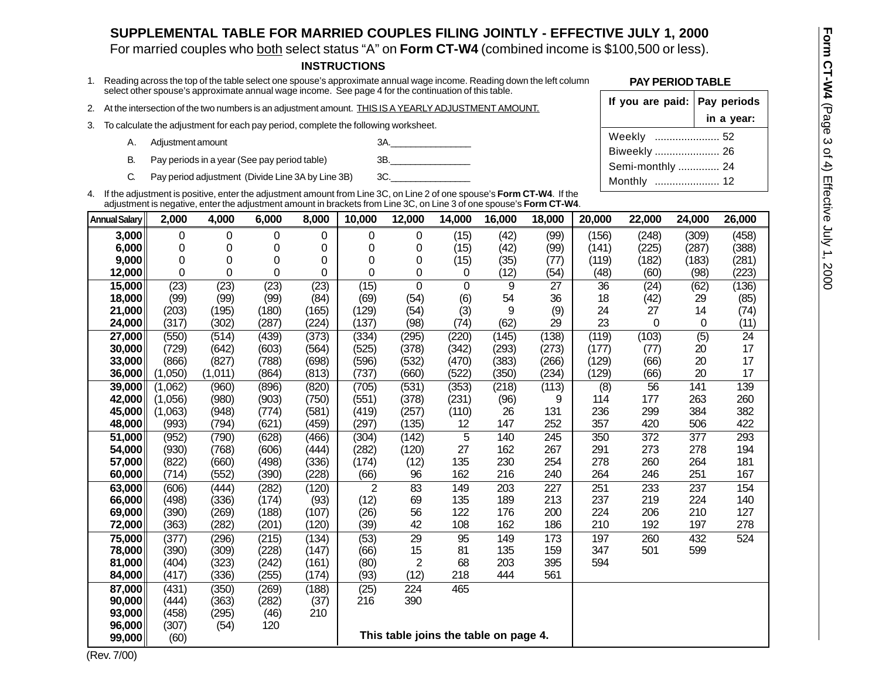### **SUPPLEMENTAL TABLE FOR MARRIED COUPLES FILING JOINTLY - EFFECTIVE JULY 1, 2000**

For married couples who both select status "A" on **Form CT-W4** (combined income is \$100,500 or less).

- 
- 
- -
	-
	-

|                                                                                                                                                                                                                                 |                                                           |                                                          |                                                                                                                                                                                                                                                 |                |                | <b>INSTRUCTIONS</b> |                                       |             |            |             |            |                                  |            |              |  |  |
|---------------------------------------------------------------------------------------------------------------------------------------------------------------------------------------------------------------------------------|-----------------------------------------------------------|----------------------------------------------------------|-------------------------------------------------------------------------------------------------------------------------------------------------------------------------------------------------------------------------------------------------|----------------|----------------|---------------------|---------------------------------------|-------------|------------|-------------|------------|----------------------------------|------------|--------------|--|--|
| 1. Reading across the top of the table select one spouse's approximate annual wage income. Reading down the left column<br>select other spouse's approximate annual wage income. See page 4 for the continuation of this table. |                                                           |                                                          |                                                                                                                                                                                                                                                 |                |                |                     |                                       |             |            |             |            | <b>PAY PERIOD TABLE</b>          |            |              |  |  |
| 2.                                                                                                                                                                                                                              |                                                           |                                                          | At the intersection of the two numbers is an adjustment amount. THIS IS A YEARLY ADJUSTMENT AMOUNT.                                                                                                                                             |                |                |                     | If you are paid: $\vert$ Pay periods  |             |            |             |            |                                  |            |              |  |  |
|                                                                                                                                                                                                                                 |                                                           |                                                          | 3. To calculate the adjustment for each pay period, complete the following worksheet.                                                                                                                                                           |                |                |                     |                                       |             |            |             |            |                                  |            | in a year:   |  |  |
|                                                                                                                                                                                                                                 | Α.                                                        | Adjustment amount                                        |                                                                                                                                                                                                                                                 |                |                |                     | 3A.                                   |             |            |             |            | Weekly  52                       |            |              |  |  |
|                                                                                                                                                                                                                                 | В.<br>Pay periods in a year (See pay period table)<br>3B. |                                                          |                                                                                                                                                                                                                                                 |                |                |                     |                                       |             |            |             |            | Biweekly  26<br>Semi-monthly  24 |            |              |  |  |
|                                                                                                                                                                                                                                 | C.                                                        | 3C.<br>Pay period adjustment (Divide Line 3A by Line 3B) |                                                                                                                                                                                                                                                 |                |                |                     |                                       |             |            | Monthly  12 |            |                                  |            |              |  |  |
|                                                                                                                                                                                                                                 |                                                           |                                                          | 4. If the adjustment is positive, enter the adjustment amount from Line 3C, on Line 2 of one spouse's Form CT-W4. If the<br>adjustment is negative, enter the adjustment amount in brackets from Line 3C, on Line 3 of one spouse's Form CT-W4. |                |                |                     |                                       |             |            |             |            |                                  |            |              |  |  |
|                                                                                                                                                                                                                                 | <b>Annual Salary</b>                                      | 2,000                                                    | 4,000                                                                                                                                                                                                                                           | 6,000          | 8,000          | 10,000              | 12,000                                | 14,000      | 16,000     | 18,000      | 20,000     | 22,000                           | 24,000     | 26,000       |  |  |
|                                                                                                                                                                                                                                 | 3,000                                                     | 0                                                        | 0                                                                                                                                                                                                                                               | 0              | 0              | 0                   | 0                                     | (15)        | (42)       | (99)        | (156)      | (248)                            | (309)      | (458)        |  |  |
|                                                                                                                                                                                                                                 | 6,000                                                     | 0                                                        | 0                                                                                                                                                                                                                                               | 0              | 0              | 0                   | 0                                     | (15)        | (42)       | (99)        | (141)      | (225)                            | (287)      | (388)        |  |  |
|                                                                                                                                                                                                                                 | 9,000                                                     | 0                                                        | 0                                                                                                                                                                                                                                               | 0              | 0              | 0                   | 0                                     | (15)        | (35)       | (77)        | (119)      | (182)                            | (183)      | (281)        |  |  |
|                                                                                                                                                                                                                                 | 12,000                                                    | 0                                                        | 0                                                                                                                                                                                                                                               | 0              | 0              | 0                   | 0                                     | 0           | (12)       | (54)        | (48)       | (60)                             | (98)       | (223)        |  |  |
|                                                                                                                                                                                                                                 | 15,000                                                    | (23)                                                     | (23)                                                                                                                                                                                                                                            | (23)           | (23)           | (15)                | $\mathbf 0$                           | $\Omega$    | 9          | 27          | 36         | (24)                             | (62)       | (136)        |  |  |
|                                                                                                                                                                                                                                 | 18,000                                                    | (99)                                                     | (99)                                                                                                                                                                                                                                            | (99)           | (84)           | (69)                | (54)                                  | (6)         | 54         | 36          | 18         | (42)                             | 29         | (85)         |  |  |
|                                                                                                                                                                                                                                 | 21,000<br>24,000                                          | (203)<br>(317)                                           | (195)<br>(302)                                                                                                                                                                                                                                  | (180)<br>(287) | (165)<br>(224) | (129)<br>(137)      | (54)<br>(98)                          | (3)<br>(74) | 9<br>(62)  | (9)<br>29   | 24<br>23   | 27<br>$\Omega$                   | 14<br>0    | (74)<br>(11) |  |  |
|                                                                                                                                                                                                                                 | 27,000                                                    | (550)                                                    | (514)                                                                                                                                                                                                                                           | (439)          | (373)          | (334)               | (295)                                 | (220)       | (145)      | (138)       | (119)      | (103)                            | (5)        | 24           |  |  |
|                                                                                                                                                                                                                                 | 30,000                                                    | (729)                                                    | (642)                                                                                                                                                                                                                                           | (603)          | (564)          | (525)               | (378)                                 | (342)       | (293)      | (273)       | (177)      | (77)                             | 20         | 17           |  |  |
|                                                                                                                                                                                                                                 | 33,000                                                    | (866)                                                    | (827)                                                                                                                                                                                                                                           | (788)          | (698)          | (596)               | (532)                                 | (470)       | (383)      | (266)       | (129)      | (66)                             | 20         | 17           |  |  |
|                                                                                                                                                                                                                                 | 36,000                                                    | (1,050)                                                  | (1,011)                                                                                                                                                                                                                                         | (864)          | (813)          | (737)               | (660)                                 | (522)       | (350)      | (234)       | (129)      | (66)                             | 20         | 17           |  |  |
|                                                                                                                                                                                                                                 | 39,000                                                    | (1,062)                                                  | (960)                                                                                                                                                                                                                                           | (896)          | (820)          | (705)               | (531)                                 | (353)       | (218)      | (113)       | (8)        | 56                               | 141        | 139          |  |  |
|                                                                                                                                                                                                                                 | 42,000                                                    | (1,056)                                                  | (980)                                                                                                                                                                                                                                           | (903)          | (750)          | (551)               | (378)                                 | (231)       | (96)       | 9           | 114        | 177                              | 263        | 260          |  |  |
|                                                                                                                                                                                                                                 | 45,000                                                    | (1,063)                                                  | (948)                                                                                                                                                                                                                                           | (774)          | (581)          | (419)               | (257)                                 | (110)       | 26         | 131         | 236        | 299                              | 384        | 382          |  |  |
|                                                                                                                                                                                                                                 | 48,000                                                    | (993)                                                    | (794)                                                                                                                                                                                                                                           | (621)          | (459)          | (297)               | (135)                                 | 12          | 147        | 252         | 357        | 420                              | 506        | 422          |  |  |
|                                                                                                                                                                                                                                 | 51,000<br>54,000                                          | (952)<br>(930)                                           | (790)<br>(768)                                                                                                                                                                                                                                  | (628)<br>(606) | (466)<br>(444) | (304)<br>(282)      | (142)<br>(120)                        | 5<br>27     | 140<br>162 | 245<br>267  | 350<br>291 | 372<br>273                       | 377<br>278 | 293<br>194   |  |  |
|                                                                                                                                                                                                                                 | 57,000                                                    | (822)                                                    | (660)                                                                                                                                                                                                                                           | (498)          | (336)          | (174)               | (12)                                  | 135         | 230        | 254         | 278        | 260                              | 264        | 181          |  |  |
|                                                                                                                                                                                                                                 | 60,000                                                    | (714)                                                    | (552)                                                                                                                                                                                                                                           | (390)          | (228)          | (66)                | 96                                    | 162         | 216        | 240         | 264        | 246                              | 251        | 167          |  |  |
|                                                                                                                                                                                                                                 | 63,000                                                    | (606)                                                    | (444)                                                                                                                                                                                                                                           | (282)          | (120)          | 2                   | 83                                    | 149         | 203        | 227         | 251        | 233                              | 237        | 154          |  |  |
|                                                                                                                                                                                                                                 | 66,000                                                    | (498)                                                    | (336)                                                                                                                                                                                                                                           | (174)          | (93)           | (12)                | 69                                    | 135         | 189        | 213         | 237        | 219                              | 224        | 140          |  |  |
|                                                                                                                                                                                                                                 | 69,000                                                    | (390)                                                    | (269)                                                                                                                                                                                                                                           | (188)          | (107)          | (26)                | 56                                    | 122         | 176        | 200         | 224        | 206                              | 210        | 127          |  |  |
|                                                                                                                                                                                                                                 | 72,000                                                    | (363)                                                    | (282)                                                                                                                                                                                                                                           | (201)          | (120)          | (39)                | 42                                    | 108         | 162        | 186         | 210        | 192                              | 197        | 278          |  |  |
|                                                                                                                                                                                                                                 | 75,000                                                    | (377)                                                    | (296)                                                                                                                                                                                                                                           | (215)          | (134)          | (53)                | 29                                    | 95          | 149        | 173         | 197        | 260                              | 432        | 524          |  |  |
|                                                                                                                                                                                                                                 | 78,000<br>81,000                                          | (390)<br>(404)                                           | (309)<br>(323)                                                                                                                                                                                                                                  | (228)<br>(242) | (147)<br>(161) | (66)<br>(80)        | 15<br>$\mathbf{2}$                    | 81<br>68    | 135<br>203 | 159<br>395  | 347<br>594 | 501                              | 599        |              |  |  |
|                                                                                                                                                                                                                                 | 84,000                                                    | (417)                                                    | (336)                                                                                                                                                                                                                                           | (255)          | (174)          | (93)                | (12)                                  | 218         | 444        | 561         |            |                                  |            |              |  |  |
|                                                                                                                                                                                                                                 | 87,000                                                    | (431)                                                    | (350)                                                                                                                                                                                                                                           | (269)          | (188)          | (25)                | 224                                   | 465         |            |             |            |                                  |            |              |  |  |
|                                                                                                                                                                                                                                 | 90,000                                                    | (444)                                                    | (363)                                                                                                                                                                                                                                           | (282)          | (37)           | 216                 | 390                                   |             |            |             |            |                                  |            |              |  |  |
|                                                                                                                                                                                                                                 | 93,000                                                    | (458)                                                    | (295)                                                                                                                                                                                                                                           | (46)           | 210            |                     |                                       |             |            |             |            |                                  |            |              |  |  |
|                                                                                                                                                                                                                                 | 96,000                                                    | (307)                                                    | (54)                                                                                                                                                                                                                                            | 120            |                |                     |                                       |             |            |             |            |                                  |            |              |  |  |
|                                                                                                                                                                                                                                 | 99,000                                                    | (60)                                                     |                                                                                                                                                                                                                                                 |                |                |                     | This table joins the table on page 4. |             |            |             |            |                                  |            |              |  |  |

| If you are paid: Pay periods |            |
|------------------------------|------------|
|                              | in a year: |
| Weekly  52                   |            |
| Biweekly  26                 |            |
| Semi-monthly  24             |            |
| Monthly  12                  |            |